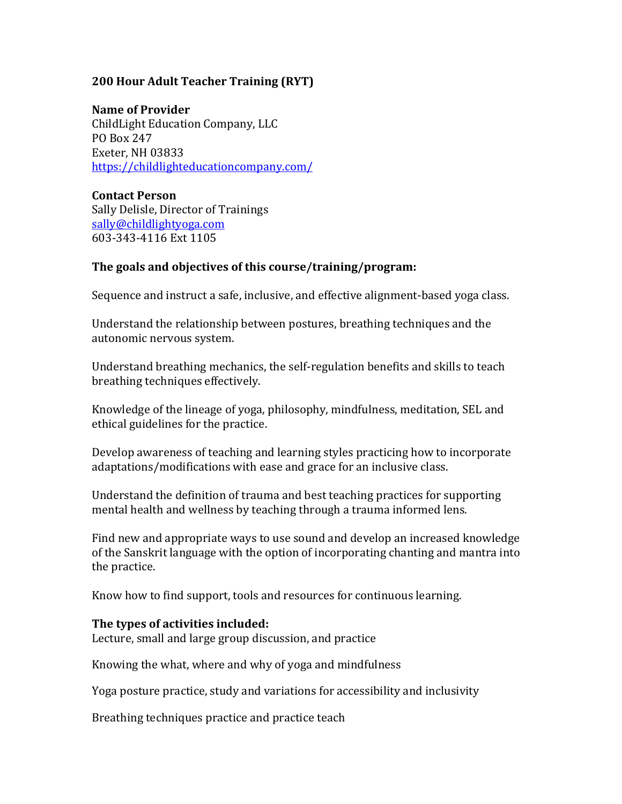# **200 Hour Adult Teacher Training (RYT)**

#### **Name of Provider**

ChildLight Education Company, LLC PO Box 247 Exeter, NH 03833 https://childlighteducationcompany.com/ 

### **Contact Person**

Sally Delisle, Director of Trainings sally@childlightyoga.com 603-343-4116 Ext 1105

# The goals and objectives of this course/training/program:

Sequence and instruct a safe, inclusive, and effective alignment-based yoga class.

Understand the relationship between postures, breathing techniques and the autonomic nervous system.

Understand breathing mechanics, the self-regulation benefits and skills to teach breathing techniques effectively.

Knowledge of the lineage of yoga, philosophy, mindfulness, meditation, SEL and ethical guidelines for the practice.

Develop awareness of teaching and learning styles practicing how to incorporate adaptations/modifications with ease and grace for an inclusive class.

Understand the definition of trauma and best teaching practices for supporting mental health and wellness by teaching through a trauma informed lens.

Find new and appropriate ways to use sound and develop an increased knowledge of the Sanskrit language with the option of incorporating chanting and mantra into the practice.

Know how to find support, tools and resources for continuous learning.

# **The types of activities included:**

Lecture, small and large group discussion, and practice

Knowing the what, where and why of yoga and mindfulness

Yoga posture practice, study and variations for accessibility and inclusivity

Breathing techniques practice and practice teach